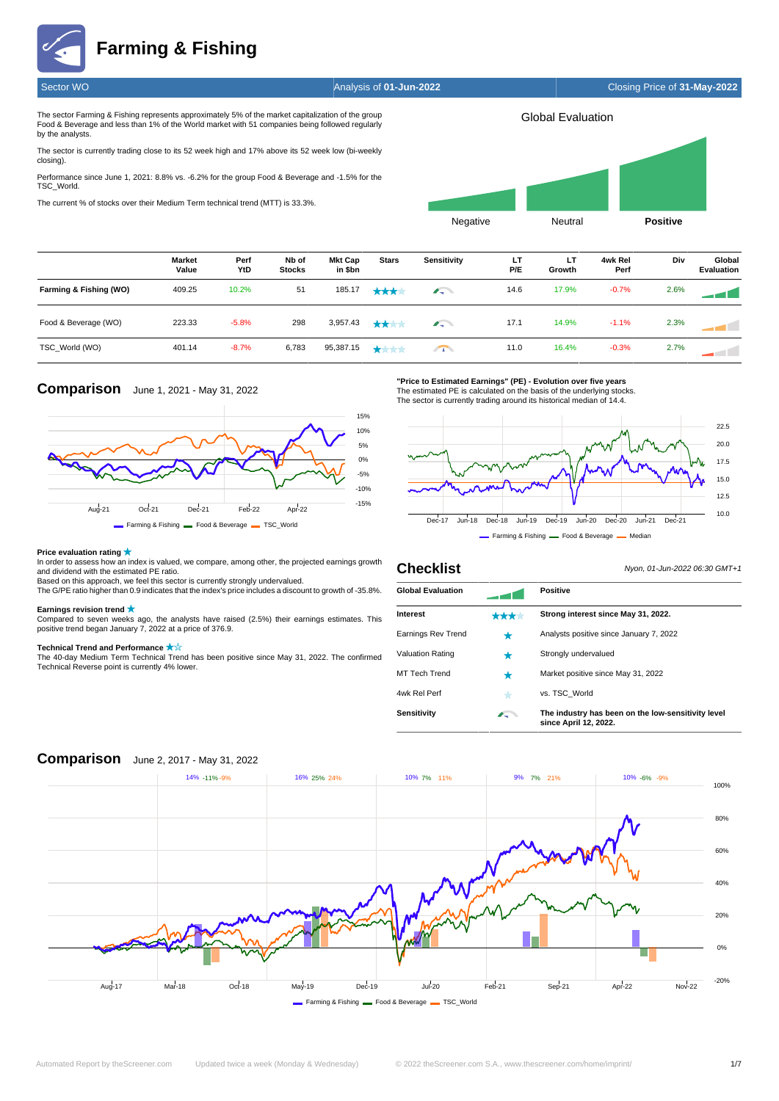**Farming & Fishing**

Sector WO Analysis of **01-Jun-2022** Closing Price of **31-May-2022**

The sector Farming & Fishing represents approximately 5% of the market capitalization of the group Food & Beverage and less than 1% of the World market with 51 companies being followed regularly by the analysts.

The sector is currently trading close to its 52 week high and 17% above its 52 week low (bi-weekly closing).

Performance since June 1, 2021: 8.8% vs. -6.2% for the group Food & Beverage and -1.5% for the TSC\_World.

The current % of stocks over their Medium Term technical trend (MTT) is 33.3%.



|                        | Market<br>Value | Perf<br>YtD | Nb of<br><b>Stocks</b> | <b>Mkt Cap</b><br>in \$bn | <b>Stars</b>                       | Sensitivity | LT<br>P/E | LТ<br>Growth | 4wk Rel<br>Perf | Div  | Global<br><b>Evaluation</b> |
|------------------------|-----------------|-------------|------------------------|---------------------------|------------------------------------|-------------|-----------|--------------|-----------------|------|-----------------------------|
| Farming & Fishing (WO) | 409.25          | 10.2%       | 51                     | 185.17                    | ****                               | $\sqrt{2}$  | 14.6      | 17.9%        | $-0.7%$         | 2.6% |                             |
| Food & Beverage (WO)   | 223.33          | $-5.8%$     | 298                    | 3,957.43                  | ****                               | $\sqrt{2}$  | 17.1      | 14.9%        | $-1.1%$         | 2.3% |                             |
| TSC World (WO)         | 401.14          | $-8.7%$     | 6,783                  | 95,387.15                 | $\bigstar\bigstar\bigstar\bigstar$ | $\sqrt{1}$  | 11.0      | 16.4%        | $-0.3%$         | 2.7% | The Contract                |

# **Comparison** June 1, 2021 - May 31, 2022



**"Price to Estimated Earnings" (PE) - Evolution over five years**

The estimated PE is calculated on the basis of the underlying stocks. The sector is currently trading around its historical median of 14.4.



**Checklist** Nyon, 01-Jun-2022 06:30 GMT+1

### **Price evaluation rating**

In order to assess how an index is valued, we compare, among other, the projected earnings growth and dividend with the estimated PE ratio. Based on this approach, we feel this sector is currently strongly undervalued.

The G/PE ratio higher than 0.9 indicates that the index's price includes a discount to growth of -35.8%.

## **Earnings revision trend**

Compared to seven weeks ago, the analysts have raised (2.5%) their earnings estimates. This positive trend began January 7, 2022 at a price of 376.9.

**Technical Trend and Performance**  The 40-day Medium Term Technical Trend has been positive since May 31, 2022. The confirmed Technical Reverse point is currently 4% lower.

| <b>Global Evaluation</b> |            | <b>Positive</b>                                                             |
|--------------------------|------------|-----------------------------------------------------------------------------|
| Interest                 | ★★★☆       | Strong interest since May 31, 2022.                                         |
| Earnings Rev Trend       | ★          | Analysts positive since January 7, 2022                                     |
| <b>Valuation Rating</b>  |            | Strongly undervalued                                                        |
| MT Tech Trend            | *          | Market positive since May 31, 2022                                          |
| 4wk Rel Perf             | ★          | vs. TSC World                                                               |
| Sensitivity              | $\sqrt{2}$ | The industry has been on the low-sensitivity level<br>since April 12, 2022. |



## **Comparison** June 2, 2017 - May 31, 2022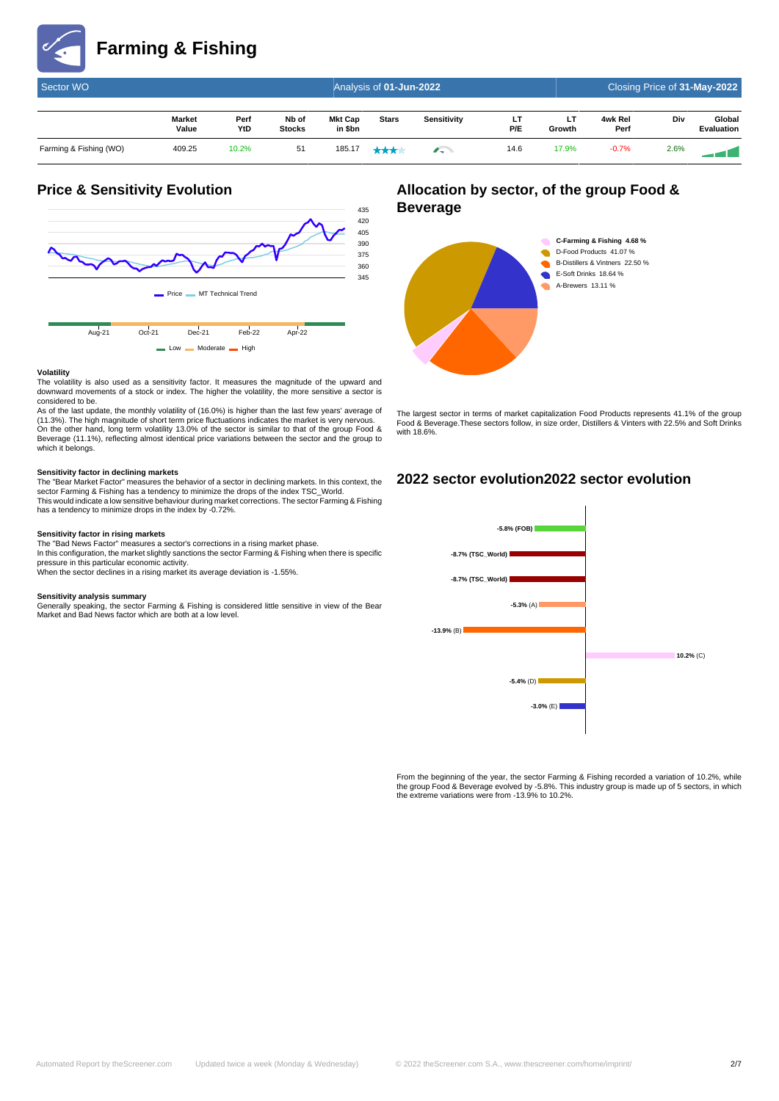

| Sector WO              |                        |             | Closing Price of 31-May-2022 |                    |              |                                |           |              |                 |      |                             |
|------------------------|------------------------|-------------|------------------------------|--------------------|--------------|--------------------------------|-----------|--------------|-----------------|------|-----------------------------|
|                        | <b>Market</b><br>Value | Perf<br>YtD | Nb of<br><b>Stocks</b>       | Mkt Cap<br>in \$bn | <b>Stars</b> | Sensitivity                    | LT<br>P/E | LT<br>Growth | 4wk Rel<br>Perf | Div  | Global<br><b>Evaluation</b> |
| Farming & Fishing (WO) | 409.25                 | 10.2%       | 51                           | 185.17             | ****         | <b>Alberta Contract Street</b> | 14.6      | 17.9%        | $-0.7%$         | 2.6% |                             |

# **Price & Sensitivity Evolution**



### **Volatility**

The volatility is also used as a sensitivity factor. It measures the magnitude of the upward and downward movements of a stock or index. The higher the volatility, the more sensitive a sector is considered to be.

As of the last update, the monthly volatility of (16.0%) is higher than the last few years' average of (11.3%). The high magnitude of short term price fluctuations indicates the market is very nervous. On the other hand, long term volatility 13.0% of the sector is similar to that of the group Food & Beverage (11.1%), reflecting almost identical price variations between the sector and the group to which it belongs.

**Sensitivity factor in declining markets** The "Bear Market Factor" measures the behavior of a sector in declining markets. In this context, the sector Farming & Fishing has a tendency to minimize the drops of the index TSC\_World. This would indicate a low sensitive behaviour during market corrections. The sector Farming & Fishing has a tendency to minimize drops in the index by -0.72%.

### **Sensitivity factor in rising markets**

The "Bad News Factor" measures a sector's corrections in a rising market phase. In this configuration, the market slightly sanctions the sector Farming & Fishing when there is specific pressure in this particular economic activity. When the sector declines in a rising market its average deviation is -1.55%.

**Sensitivity analysis summary**<br>Generally speaking, the sector Farming & Fishing is considered little sensitive in view of the Bear<br>Market and Bad News factor which are both at a low level.

## **Allocation by sector, of the group Food & Beverage**



The largest sector in terms of market capitalization Food Products represents 41.1% of the group Food & Beverage.These sectors follow, in size order, Distillers & Vinters with 22.5% and Soft Drinks with 18.6%

## **2022 sector evolution2022 sector evolution**



From the beginning of the year, the sector Farming & Fishing recorded a variation of 10.2%, while the group Food & Beverage evolved by -5.8%. This industry group is made up of 5 sectors, in which the extreme variations were from -13.9% to 10.2%.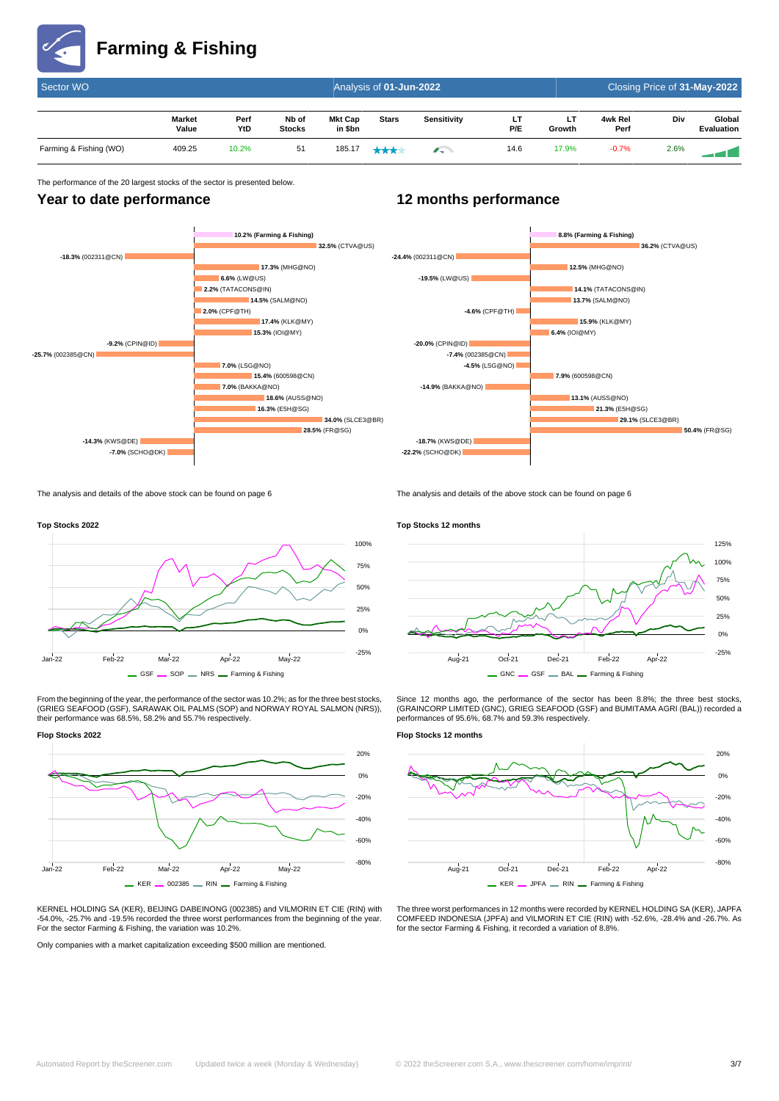

| Sector WO              |                        |             | Closing Price of 31-May-2022 |                           |              |             |            |              |                 |      |                             |
|------------------------|------------------------|-------------|------------------------------|---------------------------|--------------|-------------|------------|--------------|-----------------|------|-----------------------------|
|                        | <b>Market</b><br>Value | Perf<br>YtD | Nb of<br><b>Stocks</b>       | <b>Mkt Cap</b><br>in \$bn | <b>Stars</b> | Sensitivity | . .<br>P/E | LT<br>Growth | 4wk Rel<br>Perf | Div  | Global<br><b>Evaluation</b> |
| Farming & Fishing (WO) | 409.25                 | 10.2%       | 51                           | 185.17                    | ***          | $\sqrt{2}$  | 14.6       | 17.9%        | $-0.7%$         | 2.6% |                             |

## The performance of the 20 largest stocks of the sector is presented below.

## **Year to date performance**



# **12 months performance**



The analysis and details of the above stock can be found on page 6



From the beginning of the year, the performance of the sector was 10.2%; as for the three best stocks, (GRIEG SEAFOOD (GSF), SARAWAK OIL PALMS (SOP) and NORWAY ROYAL SALMON (NRS)), their performance was 68.5%, 58.2% and 55.7% respectively.

### **Flop Stocks 2022**



KERNEL HOLDING SA (KER), BEIJING DABEINONG (002385) and VILMORIN ET CIE (RIN) with -54.0%, -25.7% and -19.5% recorded the three worst performances from the beginning of the year. For the sector Farming & Fishing, the variation was 10.2%.

Only companies with a market capitalization exceeding \$500 million are mentioned.

# **Top Stocks 12 months**

The analysis and details of the above stock can be found on page 6



Since 12 months ago, the performance of the sector has been 8.8%; the three best stocks (GRAINCORP LIMITED (GNC), GRIEG SEAFOOD (GSF) and BUMITAMA AGRI (BAL)) recorded a performances of 95.6%, 68.7% and 59.3% respectively.

### **Flop Stocks 12 months**



The three worst performances in 12 months were recorded by KERNEL HOLDING SA (KER), JAPFA COMFEED INDONESIA (JPFA) and VILMORIN ET CIE (RIN) with -52.6%, -28.4% and -26.7%. As for the sector Farming & Fishing, it recorded a variation of 8.8%.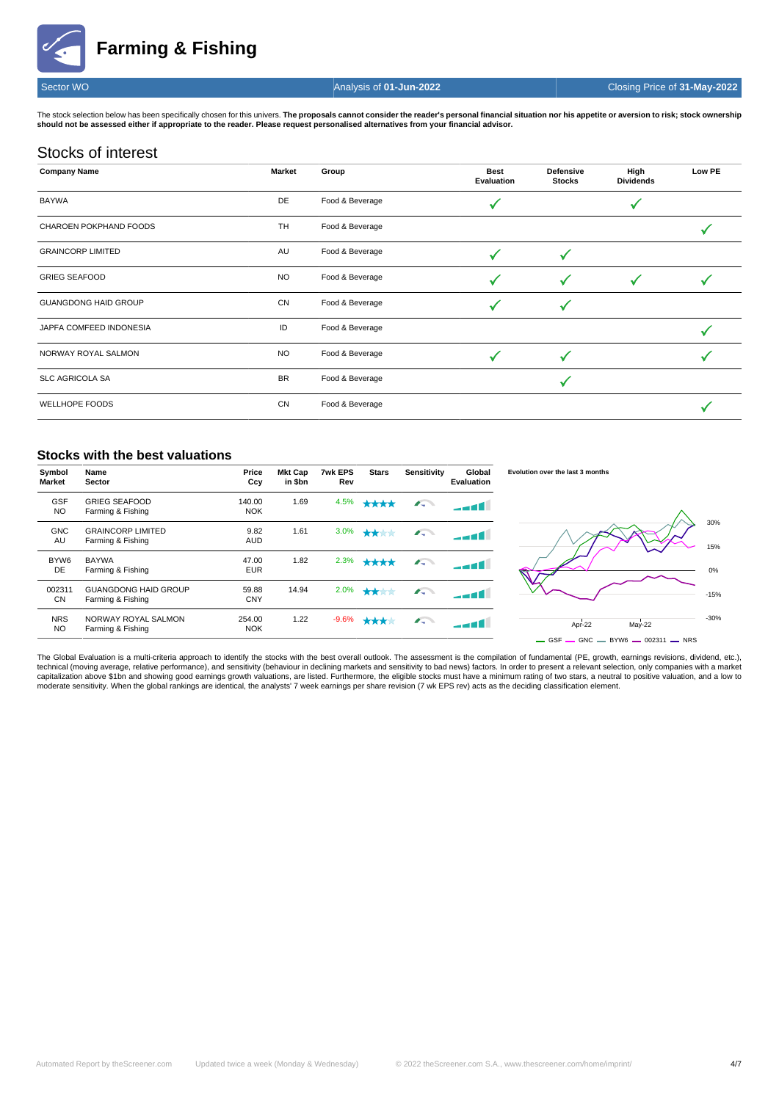**Farming & Fishing**



Sector WO Analysis of **01-Jun-2022** Closing Price of **31-May-2022**

The stock selection below has been specifically chosen for this univers. The proposals cannot consider the reader's personal financial situation nor his appetite or aversion to risk; stock ownership **should not be assessed either if appropriate to the reader. Please request personalised alternatives from your financial advisor.**

# Stocks of interest

| <b>Company Name</b>         | <b>Market</b> | Group           | <b>Best</b><br>Evaluation | <b>Defensive</b><br><b>Stocks</b> | High<br><b>Dividends</b> | Low PE |
|-----------------------------|---------------|-----------------|---------------------------|-----------------------------------|--------------------------|--------|
| <b>BAYWA</b>                | DE            | Food & Beverage |                           |                                   |                          |        |
| CHAROEN POKPHAND FOODS      | <b>TH</b>     | Food & Beverage |                           |                                   |                          |        |
| <b>GRAINCORP LIMITED</b>    | AU            | Food & Beverage |                           |                                   |                          |        |
| <b>GRIEG SEAFOOD</b>        | <b>NO</b>     | Food & Beverage |                           | ✓                                 |                          |        |
| <b>GUANGDONG HAID GROUP</b> | <b>CN</b>     | Food & Beverage |                           |                                   |                          |        |
| JAPFA COMFEED INDONESIA     | ID            | Food & Beverage |                           |                                   |                          |        |
| NORWAY ROYAL SALMON         | <b>NO</b>     | Food & Beverage |                           |                                   |                          |        |
| <b>SLC AGRICOLA SA</b>      | <b>BR</b>     | Food & Beverage |                           |                                   |                          |        |
| WELLHOPE FOODS              | CN            | Food & Beverage |                           |                                   |                          |        |

## **Stocks with the best valuations**

| Symbol<br><b>Market</b> | Name<br>Sector                                   | Price<br>Ccy         | <b>Mkt Cap</b><br>in \$bn | 7wk EPS<br>Rev | <b>Stars</b> | Sensitivity | Global<br>Evaluation | Evolution over the last 3 months                                                         |
|-------------------------|--------------------------------------------------|----------------------|---------------------------|----------------|--------------|-------------|----------------------|------------------------------------------------------------------------------------------|
| <b>GSF</b><br><b>NO</b> | <b>GRIEG SEAFOOD</b><br>Farming & Fishing        | 140.00<br><b>NOK</b> | 1.69                      | 4.5%           | ****         | $\sqrt{2}$  | ----                 |                                                                                          |
| <b>GNC</b><br>AU        | <b>GRAINCORP LIMITED</b><br>Farming & Fishing    | 9.82<br><b>AUD</b>   | 1.61                      | 3.0%           | ****         |             | -- 11 L              | 30%<br>15%                                                                               |
| BYW <sub>6</sub><br>DE  | <b>BAYWA</b><br>Farming & Fishing                | 47.00<br><b>EUR</b>  | 1.82                      | 2.3%           | ****         | $\sqrt{2}$  | <b>الک ہے۔</b>       | 0%                                                                                       |
| 002311<br>CN            | <b>GUANGDONG HAID GROUP</b><br>Farming & Fishing | 59.88<br><b>CNY</b>  | 14.94                     | 2.0%           | ****         | $\sqrt{2}$  | -- 11                | $-15%$                                                                                   |
| <b>NRS</b><br><b>NO</b> | NORWAY ROYAL SALMON<br>Farming & Fishing         | 254.00<br><b>NOK</b> | 1.22                      | $-9.6%$        | ****         | $\sqrt{2}$  | 11 ه - -             | $-30%$<br>Apr-22<br>May-22<br>$\sim$ GSF $\sim$ GNC $\sim$ BYW6 $\sim$ 002311 $\sim$ NRS |

The Global Evaluation is a multi-criteria approach to identify the stocks with the best overall outlook. The assessment is the compilation of fundamental (PE, growth, earnings revisions, dividend, etc.), technical (moving average, relative performance), and sensitivity (behaviour in declining markets and sensitivity to bad news) factors. In order to present a relevant selection, only companies with a market<br>capitalization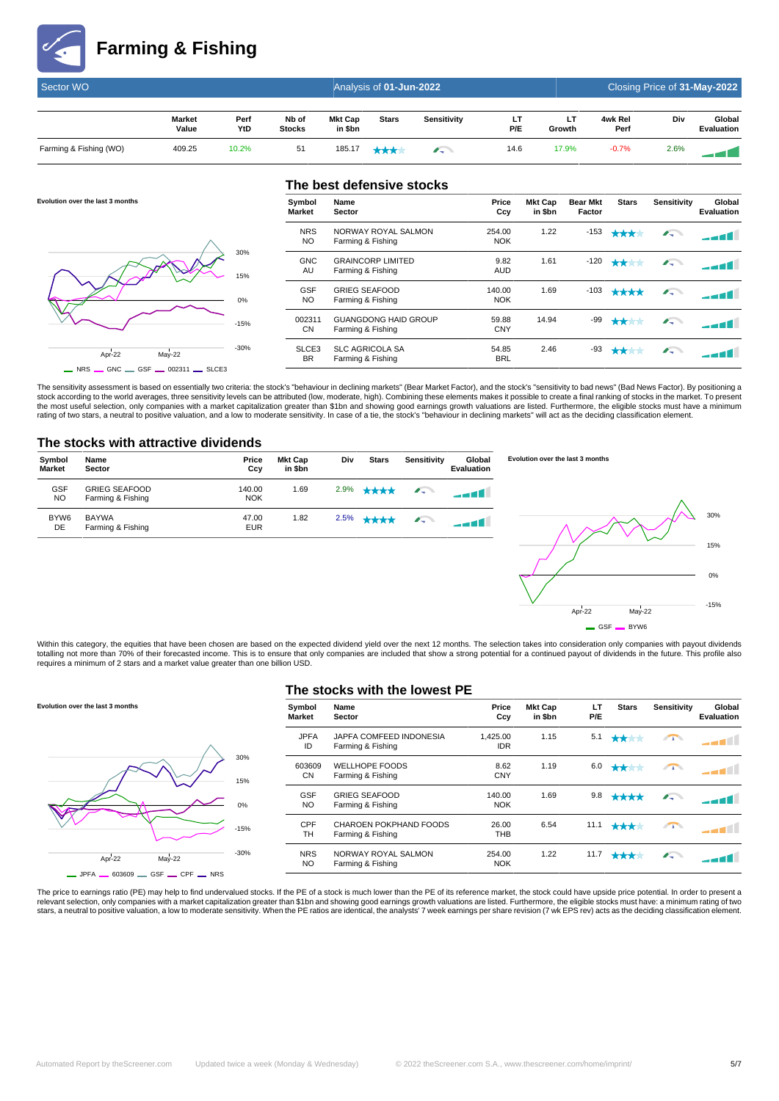

**Evolution over the last 3 months**

| Sector WO              |                        |             | Closing Price of 31-May-2022 |                    |              |             |      |              |                 |      |                             |
|------------------------|------------------------|-------------|------------------------------|--------------------|--------------|-------------|------|--------------|-----------------|------|-----------------------------|
|                        | <b>Market</b><br>Value | Perf<br>YtD | Nb of<br><b>Stocks</b>       | Mkt Cap<br>in \$bn | <b>Stars</b> | Sensitivity | P/E  | LТ<br>Growth | 4wk Rel<br>Perf | Div  | Global<br><b>Evaluation</b> |
| Farming & Fishing (WO) | 409.25                 | 10.2%       | 51                           | 185.17             | ***          | $\sim$      | 14.6 | 17.9%        | $-0.7%$         | 2.6% |                             |

# $Arr-22$  May-22 -30% -15% 0% 15% 30%  $\overline{\phantom{0}}$  NRS  $\overline{\phantom{0}}$  GNC  $\overline{\phantom{0}}$  GSF  $\overline{\phantom{0}}$  002311  $\overline{\phantom{0}}$  SLCE3

|                   | The best defensive stocks                        |                      |                           |                           |              |             |                             |
|-------------------|--------------------------------------------------|----------------------|---------------------------|---------------------------|--------------|-------------|-----------------------------|
| Symbol<br>Market  | Name<br>Sector                                   | Price<br>Ccy         | <b>Mkt Cap</b><br>in \$bn | <b>Bear Mkt</b><br>Factor | <b>Stars</b> | Sensitivity | Global<br><b>Evaluation</b> |
| <b>NRS</b><br>NO. | NORWAY ROYAL SALMON<br>Farming & Fishing         | 254.00<br><b>NOK</b> | 1.22                      | $-153$                    | ****         | $\sqrt{2}$  |                             |
| <b>GNC</b><br>AU  | <b>GRAINCORP LIMITED</b><br>Farming & Fishing    | 9.82<br><b>AUD</b>   | 1.61                      | -120                      |              | $\sqrt{2}$  |                             |
| <b>GSF</b><br>NO. | <b>GRIEG SEAFOOD</b><br>Farming & Fishing        | 140.00<br><b>NOK</b> | 1.69                      | $-103$                    | ****         | $\sqrt{2}$  |                             |
| 002311<br>CN      | <b>GUANGDONG HAID GROUP</b><br>Farming & Fishing | 59.88<br><b>CNY</b>  | 14.94                     | -99                       | ****         | $\sqrt{2}$  |                             |
| SLCE3<br>BR.      | <b>SLC AGRICOLA SA</b><br>Farming & Fishing      | 54.85<br><b>BRL</b>  | 2.46                      | -93                       | ★★★★         | $\sqrt{2}$  |                             |

The sensitivity assessment is based on essentially two criteria: the stock's "behaviour in declining markets" (Bear Market Factor), and the stock's "sensitivity to bad news" (Bad News Factor). By positioning a<br>stock accord the most useful selection, only companies with a market capitalization greater than \$1bn and showing good earnings growth valuations are listed. Furthermore, the eligible stocks must have a minimum<br>rating of two stars, a n

## **The stocks with attractive dividends**



Within this category, the equities that have been chosen are based on the expected dividend yield over the next 12 months. The selection takes into consideration only companies with payout dividends totalling not more than 70% of their forecasted income. This is to ensure that only companies are included that show a strong potential for a continued payout of dividends in the future. This profile also requires a minimum of 2 stars and a market value greater than one billion USD.

# **Evolution over the last 3 months** Apr-22 May-22 -30% -15% 0%  $150/$ 30%

 $-$  JPFA  $-$  603609  $-$  GSF  $-$  CPF  $-$  NRS

## **The stocks with the lowest PE**

| Global<br>Evaluation | Sensitivity | <b>Stars</b>               | LT<br>P/E | <b>Mkt Cap</b><br>in \$bn | Price<br>Ccy           | Name<br><b>Sector</b>                        | Symbol<br><b>Market</b> |
|----------------------|-------------|----------------------------|-----------|---------------------------|------------------------|----------------------------------------------|-------------------------|
|                      | $\sqrt{1}$  | ****                       | 5.1       | 1.15                      | 1.425.00<br><b>IDR</b> | JAPFA COMFEED INDONESIA<br>Farming & Fishing | <b>JPFA</b><br>ID       |
|                      | $\sqrt{1}$  | ****                       | 6.0       | 1.19                      | 8.62<br><b>CNY</b>     | <b>WELLHOPE FOODS</b><br>Farming & Fishing   | 603609<br><b>CN</b>     |
|                      | <b>Alla</b> | ****                       | 9.8       | 1.69                      | 140.00<br><b>NOK</b>   | <b>GRIEG SEAFOOD</b><br>Farming & Fishing    | <b>GSF</b><br>NO        |
|                      | $\sqrt{1}$  | ****                       | 11.1      | 6.54                      | 26.00<br><b>THB</b>    | CHAROEN POKPHAND FOODS<br>Farming & Fishing  | CPF<br><b>TH</b>        |
|                      | $\sqrt{2}$  | $\bigstar\bigstar\bigstar$ | 11.7      | 1.22                      | 254.00<br><b>NOK</b>   | NORWAY ROYAL SALMON<br>Farming & Fishing     | <b>NRS</b><br>NO        |
|                      |             |                            |           |                           |                        |                                              |                         |

 $Ar^{\frac{1}{2}}$  May-22

 $-$  GSF  $-$  BYW6

-15%

The price to earnings ratio (PE) may help to find undervalued stocks. If the PE of a stock is much lower than the PE of its reference market, the stock could have upside price potential. In order to present a relevant selection, only companies with a market capitalization greater than \$1bn and showing good earnings growth valuations are listed. Furthermore, the eligible stocks must have: a minimum rating of two<br>stars, a neutral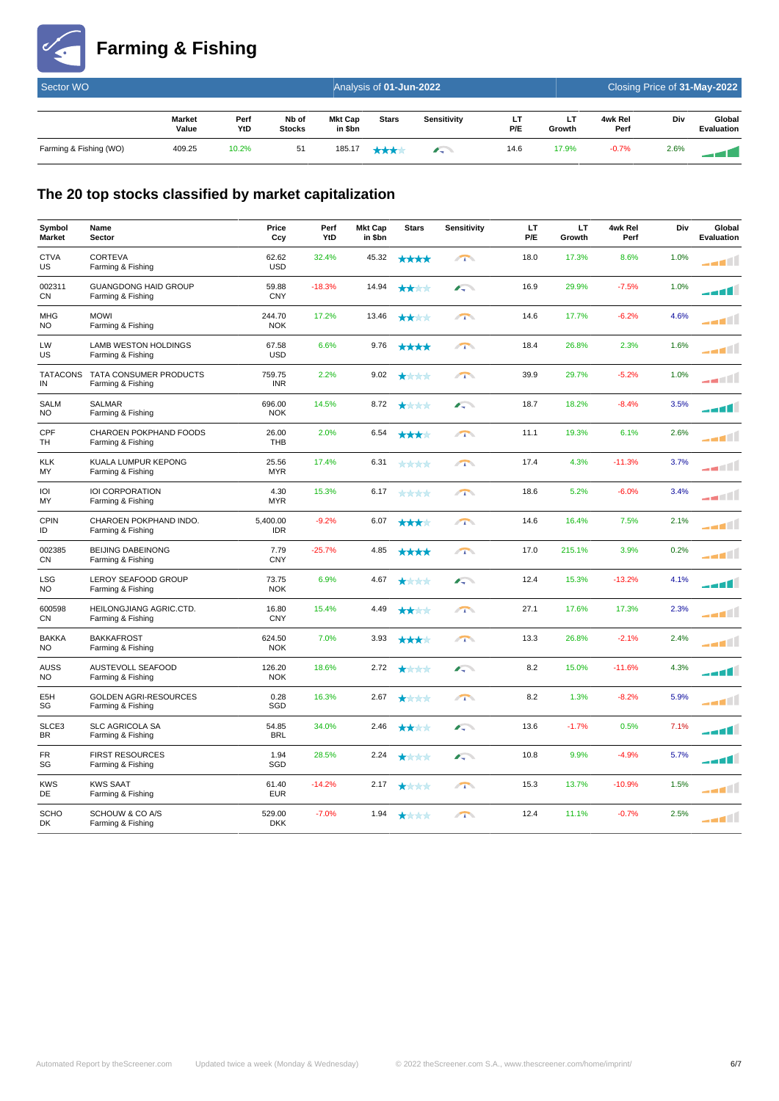

# **Farming & Fishing**

| Sector WO              |                        |             |                        |                           | Analysis of 01-Jun-2022 |             |           | Closing Price of 31-May-2022 |                 |      |                             |
|------------------------|------------------------|-------------|------------------------|---------------------------|-------------------------|-------------|-----------|------------------------------|-----------------|------|-----------------------------|
|                        | <b>Market</b><br>Value | Perf<br>YtD | Nb of<br><b>Stocks</b> | <b>Mkt Cap</b><br>in \$bn | <b>Stars</b>            | Sensitivity | LT<br>P/E | LТ<br>Growth                 | 4wk Rel<br>Perf | Div  | Global<br><b>Evaluation</b> |
| Farming & Fishing (WO) | 409.25                 | 10.2%       | 51                     | 185.17                    | ****                    | $\sqrt{2}$  | 14.6      | 17.9%                        | $-0.7%$         | 2.6% |                             |

# **The 20 top stocks classified by market capitalization**

| Symbol<br><b>Market</b> | Name<br>Sector                                       | Price<br>Ccy           | Perf<br>YtD | <b>Mkt Cap</b><br>in \$bn | <b>Stars</b> | Sensitivity | LT.<br>P/E | LT.<br>Growth | 4wk Rel<br>Perf | Div  | Global<br>Evaluation |
|-------------------------|------------------------------------------------------|------------------------|-------------|---------------------------|--------------|-------------|------------|---------------|-----------------|------|----------------------|
| <b>CTVA</b><br>US       | <b>CORTEVA</b><br>Farming & Fishing                  | 62.62<br><b>USD</b>    | 32.4%       | 45.32                     | ****         | $\sqrt{1}$  | 18.0       | 17.3%         | 8.6%            | 1.0% | ____                 |
| 002311<br>CN            | <b>GUANGDONG HAID GROUP</b><br>Farming & Fishing     | 59.88<br><b>CNY</b>    | $-18.3%$    | 14.94                     | ****         | $\sqrt{2}$  | 16.9       | 29.9%         | $-7.5%$         | 1.0% |                      |
| <b>MHG</b><br>NO.       | <b>MOWI</b><br>Farming & Fishing                     | 244.70<br><b>NOK</b>   | 17.2%       | 13.46                     | ****         | $\sqrt{1}$  | 14.6       | 17.7%         | $-6.2%$         | 4.6% |                      |
| LW<br>US                | <b>LAMB WESTON HOLDINGS</b><br>Farming & Fishing     | 67.58<br><b>USD</b>    | 6.6%        | 9.76                      | ****         | $\sqrt{1}$  | 18.4       | 26.8%         | 2.3%            | 1.6% | أللعم                |
| IN                      | TATACONS TATA CONSUMER PRODUCTS<br>Farming & Fishing | 759.75<br><b>INR</b>   | 2.2%        | 9.02                      | ****         | $\sqrt{1}$  | 39.9       | 29.7%         | $-5.2%$         | 1.0% | ____                 |
| <b>SALM</b><br>NO       | <b>SALMAR</b><br>Farming & Fishing                   | 696.00<br><b>NOK</b>   | 14.5%       | 8.72                      | ****         | $\sqrt{2}$  | 18.7       | 18.2%         | $-8.4%$         | 3.5% |                      |
| CPF<br><b>TH</b>        | CHAROEN POKPHAND FOODS<br>Farming & Fishing          | 26.00<br><b>THB</b>    | 2.0%        | 6.54                      | ★★★★         | $\sqrt{1}$  | 11.1       | 19.3%         | 6.1%            | 2.6% | أألاءء               |
| <b>KLK</b><br>MY        | KUALA LUMPUR KEPONG<br>Farming & Fishing             | 25.56<br><b>MYR</b>    | 17.4%       | 6.31                      | ****         | $\sqrt{1}$  | 17.4       | 4.3%          | $-11.3%$        | 3.7% | أللتهم               |
| IOI<br>MY               | IOI CORPORATION<br>Farming & Fishing                 | 4.30<br><b>MYR</b>     | 15.3%       | 6.17                      | ****         | $\sqrt{1}$  | 18.6       | 5.2%          | $-6.0%$         | 3.4% | أالتعم               |
| <b>CPIN</b><br>ID       | CHAROEN POKPHAND INDO.<br>Farming & Fishing          | 5,400.00<br><b>IDR</b> | $-9.2%$     | 6.07                      | ****         | $\sqrt{1}$  | 14.6       | 16.4%         | 7.5%            | 2.1% | ____                 |
| 002385<br>CN            | <b>BEIJING DABEINONG</b><br>Farming & Fishing        | 7.79<br><b>CNY</b>     | $-25.7%$    | 4.85                      | ****         | $\sqrt{1}$  | 17.0       | 215.1%        | 3.9%            | 0.2% | أللعمد               |
| LSG<br>NO.              | LEROY SEAFOOD GROUP<br>Farming & Fishing             | 73.75<br><b>NOK</b>    | 6.9%        | 4.67                      | ****         | $\sqrt{2}$  | 12.4       | 15.3%         | $-13.2%$        | 4.1% |                      |
| 600598<br>CN            | HEILONGJIANG AGRIC.CTD.<br>Farming & Fishing         | 16.80<br><b>CNY</b>    | 15.4%       | 4.49                      | ****         | $\sqrt{1}$  | 27.1       | 17.6%         | 17.3%           | 2.3% | ____                 |
| <b>BAKKA</b><br>NO      | <b>BAKKAFROST</b><br>Farming & Fishing               | 624.50<br><b>NOK</b>   | 7.0%        | 3.93                      | ****         | $\sqrt{1}$  | 13.3       | 26.8%         | $-2.1%$         | 2.4% |                      |
| <b>AUSS</b><br>NO       | <b>AUSTEVOLL SEAFOOD</b><br>Farming & Fishing        | 126.20<br><b>NOK</b>   | 18.6%       | 2.72                      | ****         | $\sqrt{2}$  | 8.2        | 15.0%         | $-11.6%$        | 4.3% |                      |
| E <sub>5</sub> H<br>SG  | <b>GOLDEN AGRI-RESOURCES</b><br>Farming & Fishing    | 0.28<br>SGD            | 16.3%       | 2.67                      | ★★★★         | $\sqrt{1}$  | 8.2        | 1.3%          | $-8.2%$         | 5.9% | ----                 |
| SLCE3<br><b>BR</b>      | <b>SLC AGRICOLA SA</b><br>Farming & Fishing          | 54.85<br><b>BRL</b>    | 34.0%       | 2.46                      | ****         | <b>Alla</b> | 13.6       | $-1.7%$       | 0.5%            | 7.1% |                      |
| <b>FR</b><br>SG         | <b>FIRST RESOURCES</b><br>Farming & Fishing          | 1.94<br>SGD            | 28.5%       | 2.24                      | ****         | A.          | 10.8       | 9.9%          | $-4.9%$         | 5.7% |                      |
| <b>KWS</b><br>DE        | <b>KWS SAAT</b><br>Farming & Fishing                 | 61.40<br><b>EUR</b>    | $-14.2%$    | 2.17                      | ****         | $\sqrt{1}$  | 15.3       | 13.7%         | $-10.9%$        | 1.5% | ____                 |
| <b>SCHO</b><br>DK       | SCHOUW & CO A/S<br>Farming & Fishing                 | 529.00<br><b>DKK</b>   | $-7.0%$     | 1.94                      | ****         | $\sqrt{1}$  | 12.4       | 11.1%         | $-0.7%$         | 2.5% | أالعمد               |